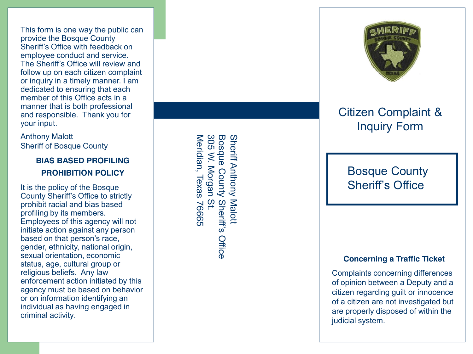This form is one way the public can provide the Bosque County Sheriff's Office with feedback on employee conduct and service. The Sheriff's Office will review and follow up on each citizen complaint or inquiry in a timely manner. I am dedicated to ensuring that each member of this Office acts in a manner that is both professional and responsible. Thank you for your input.

Anthony Malott Sheriff of Bosque County

## **BIAS BASED PROFILING PROHIBITION POLICY**

It is the policy of the Bosque County Sheriff's Office to strictly prohibit racial and bias based profiling by its members. Employees of this agency will not initiate action against any person based on that person's race, gender, ethnicity, national origin, sexual orientation, economic status, age, cultural group or religious beliefs. Any law enforcement action initiated by this agency must be based on behavior or on information identifying an individual as having engaged in criminal activity.

**Bosque** 305 Meridian, Texas 76665 305 W. Morgan St. Bosque County Sheriff's Office **Sheriff Anthony** Sheriff Anthony Malott Meridian, Texas W. Morgan County Sheriff's<br>ISt. Malott 39992 Office



# Citizen Complaint & Inquiry Form

## Bosque County Sheriff's Office

#### **Concerning a Traffic Ticket**

Complaints concerning differences of opinion between a Deputy and a citizen regarding guilt or innocence of a citizen are not investigated but are properly disposed of within the judicial system.